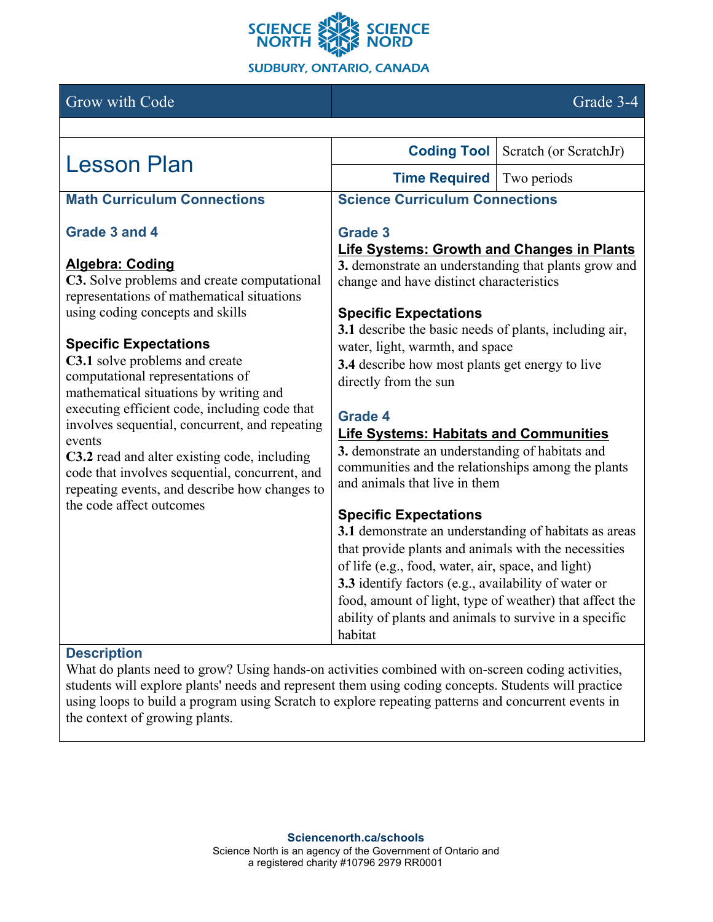

# Grow with Code Grade 3-4

| <b>Lesson Plan</b>                                                                                                                                                                                                                                                                                                                                                                                                                       | <b>Coding Tool</b>                                                                                                                                                                                        | Scratch (or ScratchJr) |
|------------------------------------------------------------------------------------------------------------------------------------------------------------------------------------------------------------------------------------------------------------------------------------------------------------------------------------------------------------------------------------------------------------------------------------------|-----------------------------------------------------------------------------------------------------------------------------------------------------------------------------------------------------------|------------------------|
|                                                                                                                                                                                                                                                                                                                                                                                                                                          | <b>Time Required</b>                                                                                                                                                                                      | Two periods            |
| <b>Math Curriculum Connections</b>                                                                                                                                                                                                                                                                                                                                                                                                       | <b>Science Curriculum Connections</b>                                                                                                                                                                     |                        |
| Grade 3 and 4                                                                                                                                                                                                                                                                                                                                                                                                                            | <b>Grade 3</b><br>Life Systems: Growth and Changes in Plants<br>3. demonstrate an understanding that plants grow and<br>change and have distinct characteristics<br><b>Specific Expectations</b>          |                        |
| <b>Algebra: Coding</b><br>C3. Solve problems and create computational<br>representations of mathematical situations<br>using coding concepts and skills                                                                                                                                                                                                                                                                                  |                                                                                                                                                                                                           |                        |
|                                                                                                                                                                                                                                                                                                                                                                                                                                          | 3.1 describe the basic needs of plants, including air,                                                                                                                                                    |                        |
| <b>Specific Expectations</b><br>C3.1 solve problems and create<br>computational representations of<br>mathematical situations by writing and<br>executing efficient code, including code that<br>involves sequential, concurrent, and repeating<br>events<br>C3.2 read and alter existing code, including<br>code that involves sequential, concurrent, and<br>repeating events, and describe how changes to<br>the code affect outcomes | water, light, warmth, and space<br>3.4 describe how most plants get energy to live<br>directly from the sun                                                                                               |                        |
|                                                                                                                                                                                                                                                                                                                                                                                                                                          | <b>Grade 4</b><br><b>Life Systems: Habitats and Communities</b><br>3. demonstrate an understanding of habitats and<br>communities and the relationships among the plants<br>and animals that live in them |                        |
|                                                                                                                                                                                                                                                                                                                                                                                                                                          | <b>Specific Expectations</b>                                                                                                                                                                              |                        |
|                                                                                                                                                                                                                                                                                                                                                                                                                                          | 3.1 demonstrate an understanding of habitats as areas<br>that provide plants and animals with the necessities<br>of life (e.g., food, water, air, space, and light)                                       |                        |
|                                                                                                                                                                                                                                                                                                                                                                                                                                          | 3.3 identify factors (e.g., availability of water or<br>food, amount of light, type of weather) that affect the<br>ability of plants and animals to survive in a specific<br>habitat                      |                        |

### **Description**

What do plants need to grow? Using hands-on activities combined with on-screen coding activities, students will explore plants' needs and represent them using coding concepts. Students will practice using loops to build a program using Scratch to explore repeating patterns and concurrent events in the context of growing plants.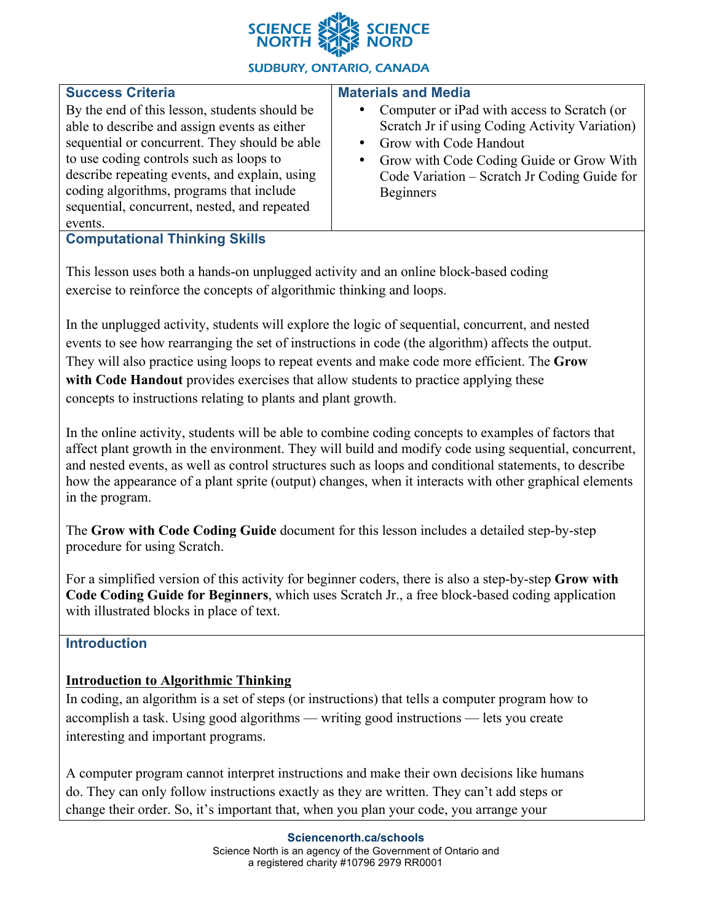

### **SUDBURY, ONTARIO, CANADA**

| <b>Success Criteria</b>                                                                                                                                                                                                                                                                                                                           | <b>Materials and Media</b>                                                                                                                                                                                                                                             |
|---------------------------------------------------------------------------------------------------------------------------------------------------------------------------------------------------------------------------------------------------------------------------------------------------------------------------------------------------|------------------------------------------------------------------------------------------------------------------------------------------------------------------------------------------------------------------------------------------------------------------------|
| By the end of this lesson, students should be<br>able to describe and assign events as either<br>sequential or concurrent. They should be able<br>to use coding controls such as loops to<br>describe repeating events, and explain, using<br>coding algorithms, programs that include<br>sequential, concurrent, nested, and repeated<br>events. | Computer or iPad with access to Scratch (or<br>$\bullet$<br>Scratch Jr if using Coding Activity Variation)<br>Grow with Code Handout<br>$\bullet$<br>Grow with Code Coding Guide or Grow With<br>٠<br>Code Variation – Scratch Jr Coding Guide for<br><b>Beginners</b> |
| <b>Computational Thinking Skills</b>                                                                                                                                                                                                                                                                                                              |                                                                                                                                                                                                                                                                        |

This lesson uses both a hands-on unplugged activity and an online block-based coding exercise to reinforce the concepts of algorithmic thinking and loops.

In the unplugged activity, students will explore the logic of sequential, concurrent, and nested events to see how rearranging the set of instructions in code (the algorithm) affects the output. They will also practice using loops to repeat events and make code more efficient. The **Grow with Code Handout** provides exercises that allow students to practice applying these concepts to instructions relating to plants and plant growth.

In the online activity, students will be able to combine coding concepts to examples of factors that affect plant growth in the environment. They will build and modify code using sequential, concurrent, and nested events, as well as control structures such as loops and conditional statements, to describe how the appearance of a plant sprite (output) changes, when it interacts with other graphical elements in the program.

The **Grow with Code Coding Guide** document for this lesson includes a detailed step-by-step procedure for using Scratch.

For a simplified version of this activity for beginner coders, there is also a step-by-step **Grow with Code Coding Guide for Beginners**, which uses Scratch Jr., a free block-based coding application with illustrated blocks in place of text.

### **Introduction**

### **Introduction to Algorithmic Thinking**

In coding, an algorithm is a set of steps (or instructions) that tells a computer program how to accomplish a task. Using good algorithms — writing good instructions — lets you create interesting and important programs.

A computer program cannot interpret instructions and make their own decisions like humans do. They can only follow instructions exactly as they are written. They can't add steps or change their order. So, it's important that, when you plan your code, you arrange your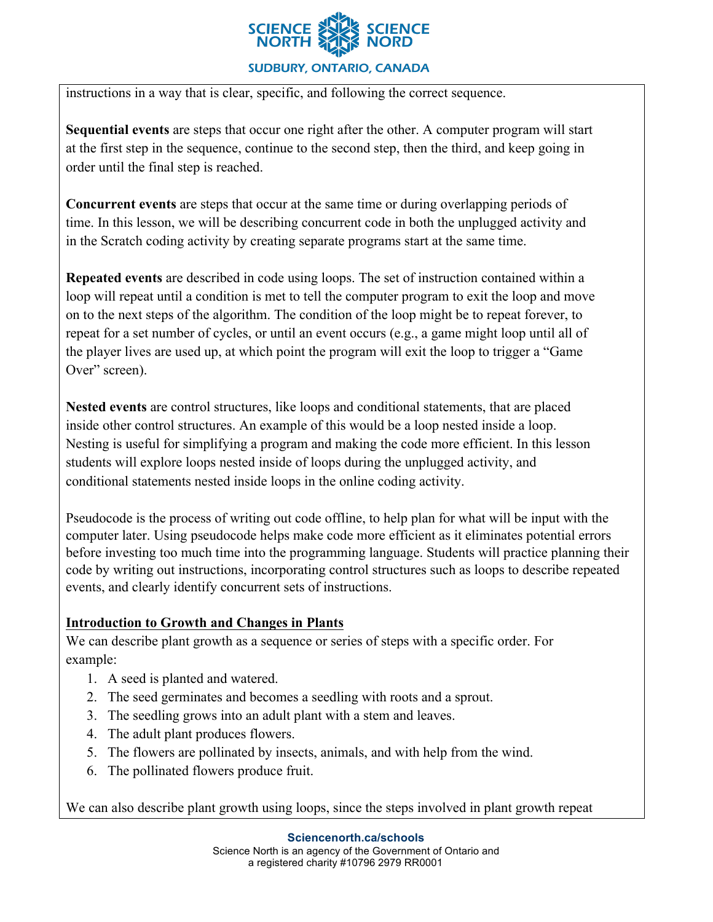

**SUDBURY, ONTARIO, CANADA** 

instructions in a way that is clear, specific, and following the correct sequence.

**Sequential events** are steps that occur one right after the other. A computer program will start at the first step in the sequence, continue to the second step, then the third, and keep going in order until the final step is reached.

**Concurrent events** are steps that occur at the same time or during overlapping periods of time. In this lesson, we will be describing concurrent code in both the unplugged activity and in the Scratch coding activity by creating separate programs start at the same time.

**Repeated events** are described in code using loops. The set of instruction contained within a loop will repeat until a condition is met to tell the computer program to exit the loop and move on to the next steps of the algorithm. The condition of the loop might be to repeat forever, to repeat for a set number of cycles, or until an event occurs (e.g., a game might loop until all of the player lives are used up, at which point the program will exit the loop to trigger a "Game Over" screen).

**Nested events** are control structures, like loops and conditional statements, that are placed inside other control structures. An example of this would be a loop nested inside a loop. Nesting is useful for simplifying a program and making the code more efficient. In this lesson students will explore loops nested inside of loops during the unplugged activity, and conditional statements nested inside loops in the online coding activity.

Pseudocode is the process of writing out code offline, to help plan for what will be input with the computer later. Using pseudocode helps make code more efficient as it eliminates potential errors before investing too much time into the programming language. Students will practice planning their code by writing out instructions, incorporating control structures such as loops to describe repeated events, and clearly identify concurrent sets of instructions.

### **Introduction to Growth and Changes in Plants**

We can describe plant growth as a sequence or series of steps with a specific order. For example:

- 1. A seed is planted and watered.
- 2. The seed germinates and becomes a seedling with roots and a sprout.
- 3. The seedling grows into an adult plant with a stem and leaves.
- 4. The adult plant produces flowers.
- 5. The flowers are pollinated by insects, animals, and with help from the wind.
- 6. The pollinated flowers produce fruit.

We can also describe plant growth using loops, since the steps involved in plant growth repeat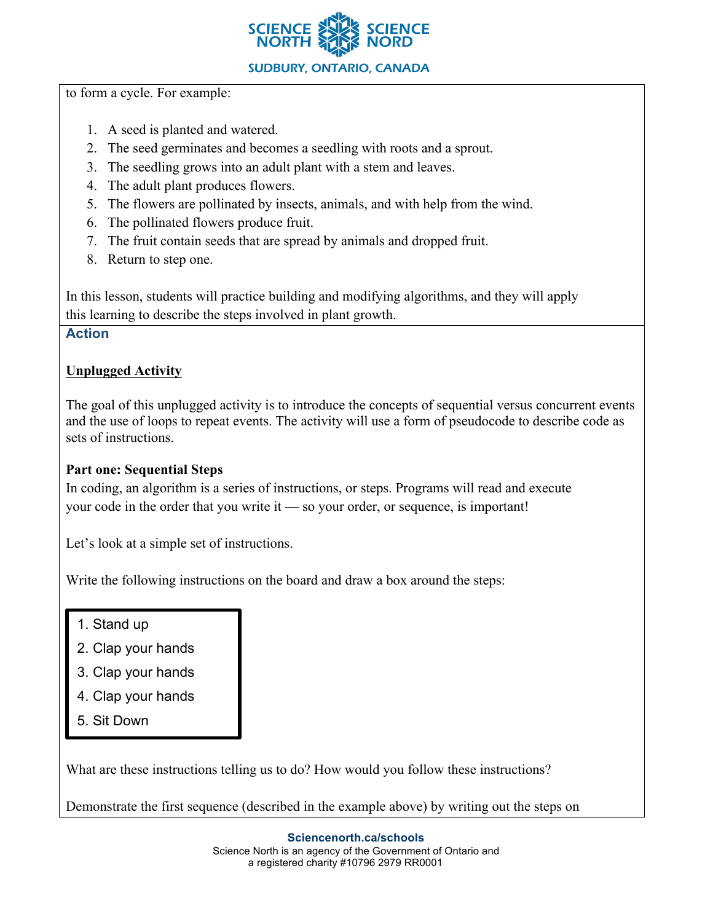

to form a cycle. For example:

- 1. A seed is planted and watered.
- 2. The seed germinates and becomes a seedling with roots and a sprout.
- 3. The seedling grows into an adult plant with a stem and leaves.
- 4. The adult plant produces flowers.
- 5. The flowers are pollinated by insects, animals, and with help from the wind.
- 6. The pollinated flowers produce fruit.
- 7. The fruit contain seeds that are spread by animals and dropped fruit.
- 8. Return to step one.

In this lesson, students will practice building and modifying algorithms, and they will apply this learning to describe the steps involved in plant growth.

### **Action**

# **Unplugged Activity**

The goal of this unplugged activity is to introduce the concepts of sequential versus concurrent events and the use of loops to repeat events. The activity will use a form of pseudocode to describe code as sets of instructions.

### **Part one: Sequential Steps**

In coding, an algorithm is a series of instructions, or steps. Programs will read and execute your code in the order that you write it — so your order, or sequence, is important!

Let's look at a simple set of instructions.

Write the following instructions on the board and draw a box around the steps:

- 1. Stand up
- 2. Clap your hands
- 3. Clap your hands
- 4. Clap your hands
- 5. Sit Down

What are these instructions telling us to do? How would you follow these instructions?

Demonstrate the first sequence (described in the example above) by writing out the steps on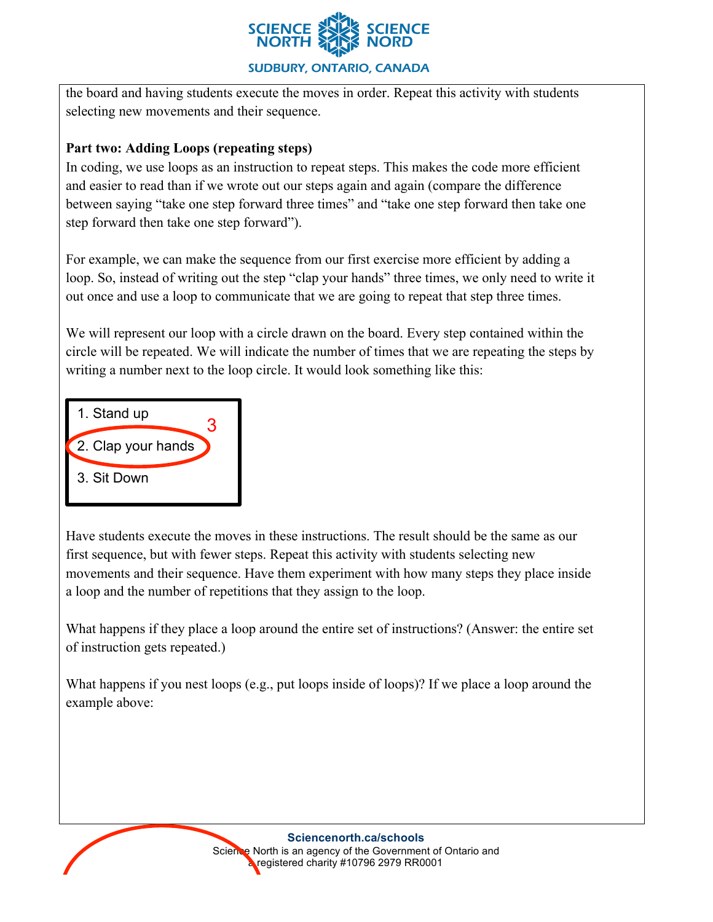

the board and having students execute the moves in order. Repeat this activity with students selecting new movements and their sequence.

### **Part two: Adding Loops (repeating steps)**

In coding, we use loops as an instruction to repeat steps. This makes the code more efficient and easier to read than if we wrote out our steps again and again (compare the difference between saying "take one step forward three times" and "take one step forward then take one step forward then take one step forward").

For example, we can make the sequence from our first exercise more efficient by adding a loop. So, instead of writing out the step "clap your hands" three times, we only need to write it out once and use a loop to communicate that we are going to repeat that step three times.

We will represent our loop with a circle drawn on the board. Every step contained within the circle will be repeated. We will indicate the number of times that we are repeating the steps by writing a number next to the loop circle. It would look something like this:



Have students execute the moves in these instructions. The result should be the same as our first sequence, but with fewer steps. Repeat this activity with students selecting new movements and their sequence. Have them experiment with how many steps they place inside a loop and the number of repetitions that they assign to the loop.

What happens if they place a loop around the entire set of instructions? (Answer: the entire set of instruction gets repeated.)

What happens if you nest loops (e.g., put loops inside of loops)? If we place a loop around the example above: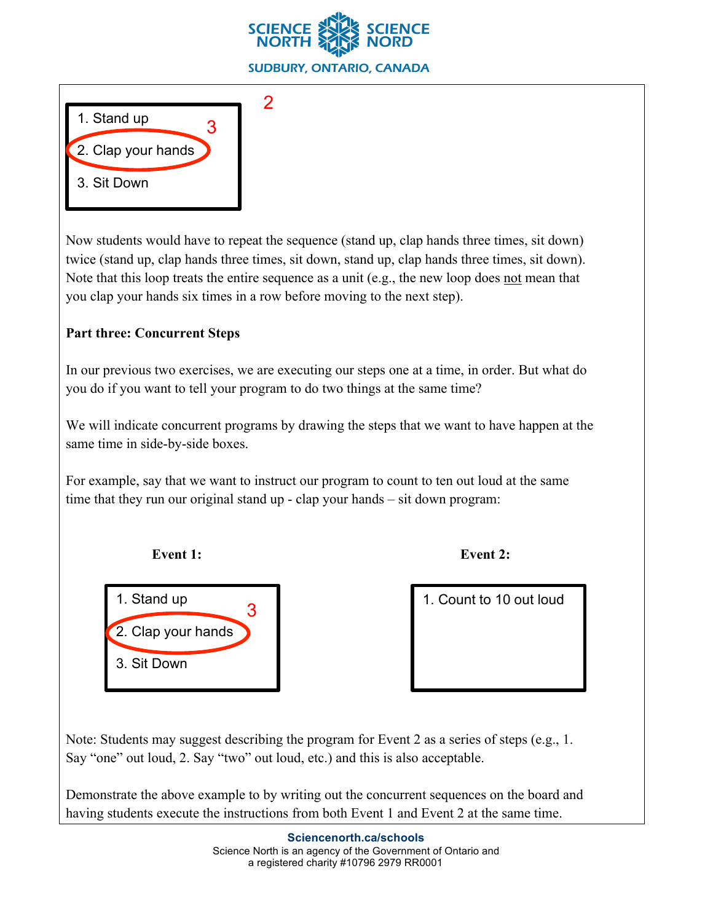



Now students would have to repeat the sequence (stand up, clap hands three times, sit down) twice (stand up, clap hands three times, sit down, stand up, clap hands three times, sit down). Note that this loop treats the entire sequence as a unit (e.g., the new loop does not mean that you clap your hands six times in a row before moving to the next step).

### **Part three: Concurrent Steps**

In our previous two exercises, we are executing our steps one at a time, in order. But what do you do if you want to tell your program to do two things at the same time?

We will indicate concurrent programs by drawing the steps that we want to have happen at the same time in side-by-side boxes.

For example, say that we want to instruct our program to count to ten out loud at the same time that they run our original stand up - clap your hands – sit down program:

**Event** 1: **Event** 2:



Note: Students may suggest describing the program for Event 2 as a series of steps (e.g., 1. Say "one" out loud, 2. Say "two" out loud, etc.) and this is also acceptable.

Demonstrate the above example to by writing out the concurrent sequences on the board and having students execute the instructions from both Event 1 and Event 2 at the same time.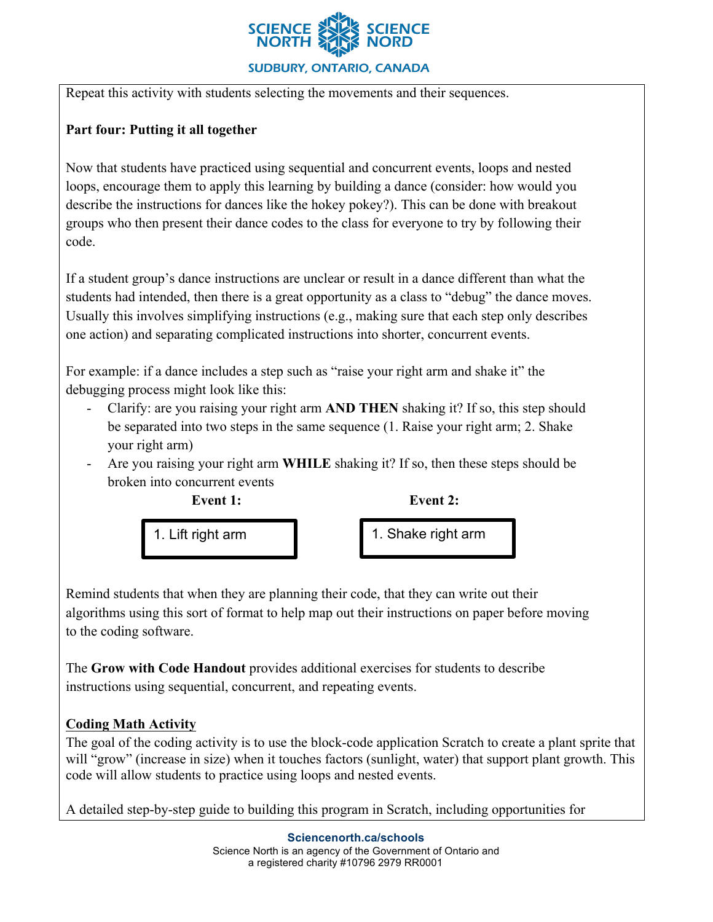

Repeat this activity with students selecting the movements and their sequences.

## **Part four: Putting it all together**

Now that students have practiced using sequential and concurrent events, loops and nested loops, encourage them to apply this learning by building a dance (consider: how would you describe the instructions for dances like the hokey pokey?). This can be done with breakout groups who then present their dance codes to the class for everyone to try by following their code.

If a student group's dance instructions are unclear or result in a dance different than what the students had intended, then there is a great opportunity as a class to "debug" the dance moves. Usually this involves simplifying instructions (e.g., making sure that each step only describes one action) and separating complicated instructions into shorter, concurrent events.

For example: if a dance includes a step such as "raise your right arm and shake it" the debugging process might look like this:

- Clarify: are you raising your right arm **AND THEN** shaking it? If so, this step should be separated into two steps in the same sequence (1. Raise your right arm; 2. Shake your right arm)
- Are you raising your right arm **WHILE** shaking it? If so, then these steps should be broken into concurrent events



1. Lift right arm **1.** 1. Shake right arm

Remind students that when they are planning their code, that they can write out their algorithms using this sort of format to help map out their instructions on paper before moving to the coding software.

The **Grow with Code Handout** provides additional exercises for students to describe instructions using sequential, concurrent, and repeating events.

# **Coding Math Activity**

The goal of the coding activity is to use the block-code application Scratch to create a plant sprite that will "grow" (increase in size) when it touches factors (sunlight, water) that support plant growth. This code will allow students to practice using loops and nested events.

A detailed step-by-step guide to building this program in Scratch, including opportunities for